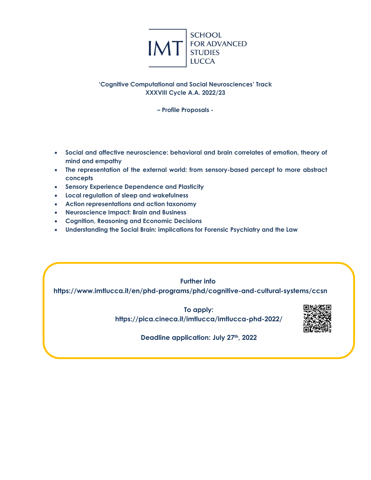

# **'Cognitive Computational and Social Neurosciences' Track XXXVIII Cycle A.A. 2022/23**

**– Profile Proposals -**

- **Social and affective neuroscience: behavioral and brain correlates of emotion, theory of mind and empathy**
- **The representation of the external world: from sensory-based percept to more abstract concepts**
- **Sensory Experience Dependence and Plasticity**
- **Local regulation of sleep and wakefulness**
- **Action representations and action taxonomy**
- **Neuroscience Impact: Brain and Business**
- **Cognition, Reasoning and Economic Decisions**
- **Understanding the Social Brain: implications for Forensic Psychiatry and the Law**

**Further info**: **https://www.imtlucca.it/en/phd-programs/phd/cognitive-and-cultural-systems/ccsn**

> **To apply: https://pica.cineca.it/imtlucca/imtlucca-phd-2022/**



**Deadline application: July 27th, 2022**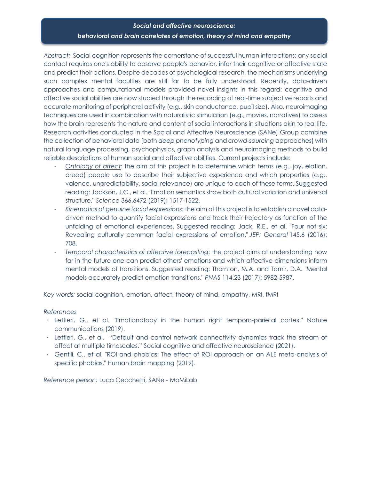# *Social and affective neuroscience: behavioral and brain correlates of emotion, theory of mind and empathy*

*Abstract:* Social cognition represents the cornerstone of successful human interactions: any social contact requires one's ability to observe people's behavior, infer their cognitive or affective state and predict their actions. Despite decades of psychological research, the mechanisms underlying such complex mental faculties are still far to be fully understood. Recently, data-driven approaches and computational models provided novel insights in this regard: cognitive and affective social abilities are now studied through the recording of real-time subjective reports and accurate monitoring of peripheral activity (e.g., skin conductance, pupil size). Also, neuroimaging techniques are used in combination with naturalistic stimulation (e.g., movies, narratives) to assess how the brain represents the nature and content of social interactions in situations akin to real life. Research activities conducted in the Social and Affective Neuroscience (SANe) Group combine the collection of behavioral data (both *deep phenotyping* and *crowd-sourcing* approaches) with natural language processing, psychophysics, graph analysis and neuroimaging methods to build reliable descriptions of human social and affective abilities. Current projects include:

- *Ontology of affect*: the aim of this project is to determine which terms (e.g., joy, elation, dread) people use to describe their subjective experience and which properties (e.g., valence, unpredictability, social relevance) are unique to each of these terms. Suggested reading: Jackson, J.C., et al. "Emotion semantics show both cultural variation and universal structure." *Science* 366.6472 (2019): 1517-1522.
- *Kinematics of genuine facial expressions*: the aim of this project is to establish a novel datadriven method to quantify facial expressions and track their trajectory as function of the unfolding of emotional experiences. Suggested reading: Jack, R.E., et al. "Four not six: Revealing culturally common facial expressions of emotion." *JEP: General* 145.6 (2016): 708.
- *Temporal characteristics of affective forecasting*: the project aims at understanding how far in the future one can predict others' emotions and which affective dimensions inform mental models of transitions. Suggested reading: Thornton, M.A. and Tamir, D.A. "Mental models accurately predict emotion transitions." *PNAS* 114.23 (2017): 5982-5987.

*Key words:* social cognition, emotion, affect, theory of mind, empathy, MRI, fMRI

## *References*

- · Lettieri, G., et al. "Emotionotopy in the human right temporo-parietal cortex." Nature communications (2019).
- · Lettieri, G., et al. "Default and control network connectivity dynamics track the stream of affect at multiple timescales." Social cognitive and affective neuroscience (2021).
- · Gentili, C., et al. "ROI and phobias: The effect of ROI approach on an ALE meta-analysis of specific phobias." Human brain mapping (2019).

*Reference person:* Luca Cecchetti, SANe - MoMiLab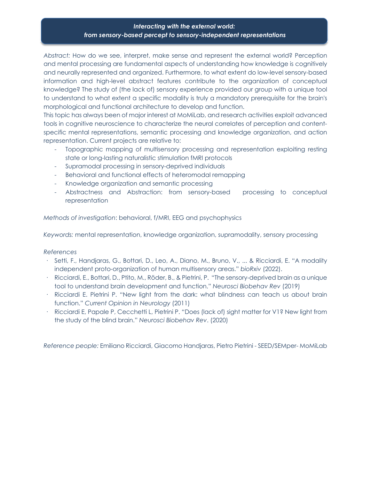# *Interacting with the external world: from sensory-based percept to sensory-independent representations*

*Abstract:* How do we see, interpret, make sense and represent the external world? Perception and mental processing are fundamental aspects of understanding how knowledge is cognitively and neurally represented and organized. Furthermore, to what extent do low-level sensory-based information and high-level abstract features contribute to the organization of conceptual knowledge? The study of (the lack of) sensory experience provided our group with a unique tool to understand to what extent a specific modality is truly a mandatory prerequisite for the brain's morphological and functional architecture to develop and function.

This topic has always been of major interest at MoMiLab, and research activities exploit advanced tools in cognitive neuroscience to characterize the neural correlates of perception and contentspecific mental representations, semantic processing and knowledge organization, and action representation. Current projects are relative to:

- Topographic mapping of multisensory processing and representation exploiting resting state or long-lasting naturalistic stimulation fMRI protocols
- Supramodal processing in sensory-deprived individuals
- Behavioral and functional effects of heteromodal remapping
- Knowledge organization and semantic processing
- Abstractness and Abstraction: from sensory-based processing to conceptual representation

*Methods of investigation*: behavioral, f/MRI, EEG and psychophysics

*Keywords:* mental representation, knowledge organization, supramodality, sensory processing

## *References*

- · Setti, F., Handjaras, G., Bottari, D., Leo, A., Diano, M., Bruno, V., ... & Ricciardi, E. "A modality independent proto-organization of human multisensory areas." *bioRxiv* (2022).
- · Ricciardi, E., Bottari, D., Ptito, M., Röder, B., & Pietrini, P. "The sensory-deprived brain as a unique tool to understand brain development and function." *Neurosci Biobehav Rev* (2019)
- · Ricciardi E. Pietrini P. "New light from the dark: what blindness can teach us about brain function." *Current Opinion in Neurology* (2011)
- · Ricciardi E, Papale P, Cecchetti L, Pietrini P. "Does (lack of) sight matter for V1? New light from the study of the blind brain." *Neurosci Biobehav Rev*. (2020)

*Reference people:* Emiliano Ricciardi, Giacomo Handjaras, Pietro Pietrini - SEED/SEMper- MoMiLab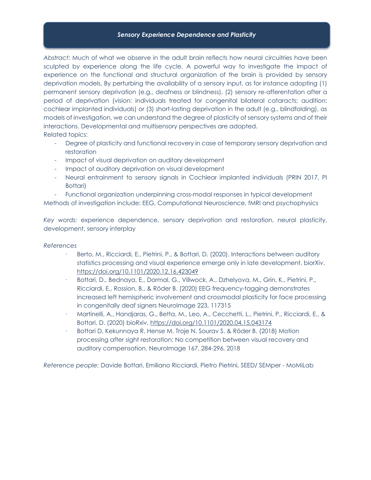## *Sensory Experience Dependence and Plasticity*

*Abstract:* Much of what we observe in the adult brain reflects how neural circuitries have been sculpted by experience along the life cycle. A powerful way to investigate the impact of experience on the functional and structural organization of the brain is provided by sensory deprivation models. By perturbing the availability of a sensory input, as for instance adopting (1) permanent sensory deprivation (e.g., deafness or blindness), (2) sensory re-afferentation after a period of deprivation (vision: individuals treated for congenital bilateral cataracts; audition: cochlear implanted individuals) or (3) short-lasting deprivation in the adult (e.g., blindfolding), as models of investigation, we can understand the degree of plasticity of sensory systems and of their interactions. Developmental and multisensory perspectives are adopted.

Related topics:

- Degree of plasticity and functional recovery in case of temporary sensory deprivation and restoration
- Impact of visual deprivation on auditory development
- Impact of auditory deprivation on visual development
- Neural entrainment to sensory signals in Cochlear implanted individuals (PRIN 2017, PI Bottari)
- Functional organization underpinning cross-modal responses in typical development

Methods of investigation include: EEG, Computational Neuroscience, fMRI and psychophysics

*Key words:* experience dependence, sensory deprivation and restoration, neural plasticity, development, sensory interplay

## *References*

- · Berto, M., Ricciardi, E., Pietrini, P., & Bottari, D. (2020). Interactions between auditory statistics processing and visual experience emerge only in late development, biorXiv, https://doi.org/10.1101/2020.12.16.423049
- · Bottari, D., Bednaya, E., Dormal, G., Villwock, A., Dzhelyova, M., Grin, K., Pietrini, P., Ricciardi, E., Rossion, B., & Röder B. (2020) EEG frequency-tagging demonstrates increased left hemispheric involvement and crossmodal plasticity for face processing in congenitally deaf signers NeuroImage 223, 117315
- · Martinelli, A., Handjaras, G., Betta, M., Leo, A., Cecchetti, L., Pietrini, P., Ricciardi, E., & Bottari, D. (2020) bioRxiv, https://doi.org/10.1101/2020.04.15.043174
- · Bottari D. Kekunnaya R. Hense M. Troje N. Sourav S. & Röder B. (2018) Motion processing after sight restoration: No competition between visual recovery and auditory compensation. NeuroImage 167, 284-296, 2018

*Reference people:* Davide Bottari, Emiliano Ricciardi, Pietro Pietrini, SEED/ SEMper - MoMiLab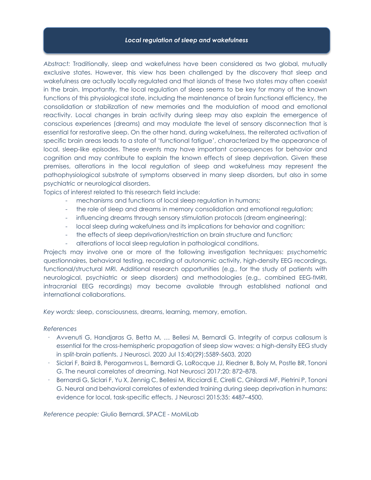## *Local regulation of sleep and wakefulness*

*Abstract:* Traditionally, sleep and wakefulness have been considered as two global, mutually exclusive states. However, this view has been challenged by the discovery that sleep and wakefulness are actually locally regulated and that islands of these two states may often coexist in the brain. Importantly, the local regulation of sleep seems to be key for many of the known functions of this physiological state, including the maintenance of brain functional efficiency, the consolidation or stabilization of new memories and the modulation of mood and emotional reactivity. Local changes in brain activity during sleep may also explain the emergence of conscious experiences (dreams) and may modulate the level of sensory disconnection that is essential for restorative sleep. On the other hand, during wakefulness, the reiterated activation of specific brain areas leads to a state of 'functional fatigue', characterized by the appearance of local, sleep-like episodes. These events may have important consequences for behavior and cognition and may contribute to explain the known effects of sleep deprivation. Given these premises, alterations in the local regulation of sleep and wakefulness may represent the pathophysiological substrate of symptoms observed in many sleep disorders, but also in some psychiatric or neurological disorders.

Topics of interest related to this research field include:

- mechanisms and functions of local sleep regulation in humans;
- the role of sleep and dreams in memory consolidation and emotional regulation;
- influencing dreams through sensory stimulation protocols (dream engineering);
- local sleep during wakefulness and its implications for behavior and cognition;
- the effects of sleep deprivation/restriction on brain structure and function;
- alterations of local sleep regulation in pathological conditions.

Projects may involve one or more of the following investigation techniques: psychometric questionnaires, behavioral testing, recording of autonomic activity, high-density EEG recordings, functional/structural MRI. Additional research opportunities (e.g., for the study of patients with neurological, psychiatric or sleep disorders) and methodologies (e.g., combined EEG-fMRI, intracranial EEG recordings) may become available through established national and international collaborations.

*Key words:* sleep, consciousness, dreams, learning, memory, emotion.

## *References*

- · Avvenuti G, Handjaras G, Betta M, … Bellesi M, Bernardi G. Integrity of corpus callosum is essential for the cross-hemispheric propagation of sleep slow waves: a high-density EEG study in split-brain patients. J Neurosci. 2020 Jul 15;40(29):5589-5603, 2020
- Siclari F, Baird B, Perogamvros L, Bernardi G, LaRocque JJ, Riedner B, Boly M, Postle BR, Tononi G. The neural correlates of dreaming. Nat Neurosci 2017;20: 872–878.
- Bernardi G, Siclari F, Yu X, Zennig C, Bellesi M, Ricciardi E, Cirelli C, Ghilardi MF, Pietrini P, Tononi G. Neural and behavioral correlates of extended training during sleep deprivation in humans: evidence for local, task-specific effects. J Neurosci 2015;35: 4487–4500.

*Reference people:* Giulio Bernardi, SPACE - MoMiLab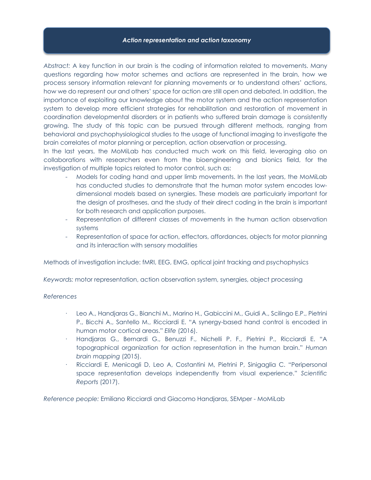#### *Action representation and action taxonomy*

*Abstract:* A key function in our brain is the coding of information related to movements. Many questions regarding how motor schemes and actions are represented in the brain, how we process sensory information relevant for planning movements or to understand others' actions, how we do represent our and others' space for action are still open and debated. In addition, the importance of exploiting our knowledge about the motor system and the action representation system to develop more efficient strategies for rehabilitation and restoration of movement in coordination developmental disorders or in patients who suffered brain damage is consistently growing. The study of this topic can be pursued through different methods, ranging from behavioral and psychophysiological studies to the usage of functional imaging to investigate the brain correlates of motor planning or perception, action observation or processing.

In the last years, the MoMiLab has conducted much work on this field, leveraging also on collaborations with researchers even from the bioengineering and bionics field, for the investigation of multiple topics related to motor control, such as:

- Models for coding hand and upper limb movements. In the last years, the MoMiLab has conducted studies to demonstrate that the human motor system encodes lowdimensional models based on synergies. These models are particularly important for the design of prostheses, and the study of their direct coding in the brain is important for both research and application purposes.
- Representation of different classes of movements in the human action observation systems
- Representation of space for action, effectors, affordances, objects for motor planning and its interaction with sensory modalities

Methods of investigation include: fMRI, EEG, EMG, optical joint tracking and psychophysics

*Keywords:* motor representation, action observation system, synergies, object processing

## *References*

- Leo A., Handjaras G., Bianchi M., Marino H., Gabiccini M., Guidi A., Scilingo E.P., Pietrini P., Bicchi A., Santello M., Ricciardi E. "A synergy-based hand control is encoded in human motor cortical areas." *Elife* (2016).
- · Handjaras G., Bernardi G., Benuzzi F., Nichelli P. F., Pietrini P., Ricciardi E. "A topographical organization for action representation in the human brain." *Human brain mapping* (2015).
- · Ricciardi E, Menicagli D, Leo A, Costantini M, Pietrini P, Sinigaglia C. "Peripersonal space representation develops independently from visual experience." *Scientific Reports* (2017).

*Reference people:* Emiliano Ricciardi and Giacomo Handjaras, SEMper - MoMiLab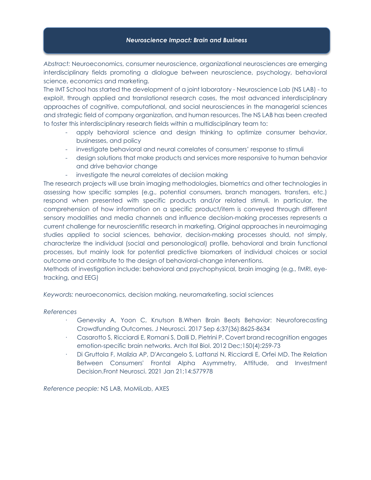## *Neuroscience Impact: Brain and Business*

*Abstract:* Neuroeconomics, consumer neuroscience, organizational neurosciences are emerging interdisciplinary fields promoting a dialogue between neuroscience, psychology, behavioral science, economics and marketing.

The IMT School has started the development of a joint laboratory - Neuroscience Lab (NS LAB) - to exploit, through applied and translational research cases, the most advanced interdisciplinary approaches of cognitive, computational, and social neurosciences in the managerial sciences and strategic field of company organization, and human resources. The NS LAB has been created to foster this interdisciplinary research fields within a multidisciplinary team to:

- apply behavioral science and design thinking to optimize consumer behavior, businesses, and policy
- investigate behavioral and neural correlates of consumers' response to stimuli
- design solutions that make products and services more responsive to human behavior and drive behavior change
- investigate the neural correlates of decision making

The research projects will use brain imaging methodologies, biometrics and other technologies in assessing how specific samples (e.g., potential consumers, branch managers, transfers, etc.) respond when presented with specific products and/or related stimuli. In particular, the comprehension of how information on a specific product/item is conveyed through different sensory modalities and media channels and influence decision-making processes represents a current challenge for neuroscientific research in marketing. Original approaches in neuroimaging studies applied to social sciences, behavior, decision-making processes should, not simply, characterize the individual (social and personological) profile, behavioral and brain functional processes, but mainly look for potential predictive biomarkers of individual choices or social outcome and contribute to the design of behavioral-change interventions.

Methods of investigation include: behavioral and psychophysical, brain imaging (e.g., fMRI, eyetracking, and EEG)

*Keywords:* neuroeconomics, decision making, neuromarketing, social sciences

## *References*

- Genevsky A, Yoon C, Knutson B.When Brain Beats Behavior: Neuroforecasting Crowdfunding Outcomes. J Neurosci. 2017 Sep 6;37(36):8625-8634
- · Casarotto S, Ricciardi E, Romani S, Dalli D, Pietrini P. Covert brand recognition engages emotion-specific brain networks. Arch Ital Biol. 2012 Dec;150(4):259-73
- · Di Gruttola F, Malizia AP, D'Arcangelo S, Lattanzi N, Ricciardi E, Orfei MD. The Relation Between Consumers' Frontal Alpha Asymmetry, Attitude, and Investment Decision.Front Neurosci. 2021 Jan 21;14:577978

*Reference people:* NS LAB, MoMiLab, AXES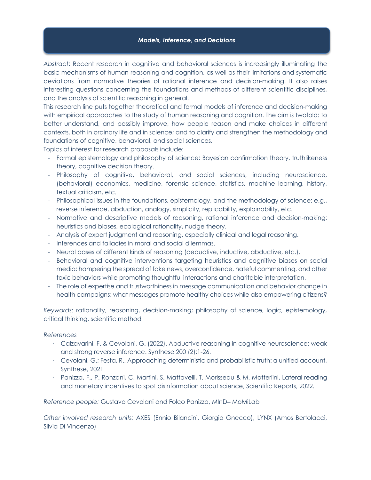## *Models, Inference, and Decisions*

*Abstract*: Recent research in cognitive and behavioral sciences is increasingly illuminating the basic mechanisms of human reasoning and cognition, as well as their limitations and systematic deviations from normative theories of rational inference and decision-making. It also raises interesting questions concerning the foundations and methods of different scientific disciplines, and the analysis of scientific reasoning in general.

This research line puts together theoretical and formal models of inference and decision-making with empirical approaches to the study of human reasoning and cognition. The aim is twofold: to better understand, and possibly improve, how people reason and make choices in different contexts, both in ordinary life and in science; and to clarify and strengthen the methodology and foundations of cognitive, behavioral, and social sciences.

Topics of interest for research proposals include:

- Formal epistemology and philosophy of science: Bayesian confirmation theory, truthlikeness theory, cognitive decision theory.
- Philosophy of cognitive, behavioral, and social sciences, including neuroscience, (behavioral) economics, medicine, forensic science, statistics, machine learning, history, textual criticism, etc.
- Philosophical issues in the foundations, epistemology, and the methodology of science: e.g., reverse inference, abduction, analogy, simplicity, replicability, explainability, etc.
- Normative and descriptive models of reasoning, rational inference and decision-making: heuristics and biases, ecological rationality, nudge theory.
- Analysis of expert judgment and reasoning, especially clinical and legal reasoning.
- Inferences and fallacies in moral and social dilemmas.
- Neural bases of different kinds of reasoning (deductive, inductive, abductive, etc.).
- Behavioral and cognitive interventions targeting heuristics and cognitive biases on social media: hampering the spread of fake news, overconfidence, hateful commenting, and other toxic behaviors while promoting thoughtful interactions and charitable interpretation.
- The role of expertise and trustworthiness in message communication and behavior change in health campaigns: what messages promote healthy choices while also empowering citizens?

*Keywords*: rationality, reasoning, decision-making; philosophy of science, logic, epistemology, critical thinking, scientific method

## *References*

- · Calzavarini, F. & Cevolani, G. (2022). Abductive reasoning in cognitive neuroscience: weak and strong reverse inference. Synthese 200 (2):1-26.
- · Cevolani, G.; Festa, R., Approaching deterministic and probabilistic truth: a unified account, Synthese, 2021
- · Panizza, F., P. Ronzani, C. Martini, S. Mattavelli, T. Morisseau & M. Motterlini, Lateral reading and monetary incentives to spot disinformation about science, Scientific Reports, 2022.

*Reference people:* Gustavo Cevolani and Folco Panizza, MInD‒ MoMiLab

*Other involved research units:* AXES (Ennio Bilancini, Giorgio Gnecco), LYNX (Amos Bertolacci, Silvia Di Vincenzo)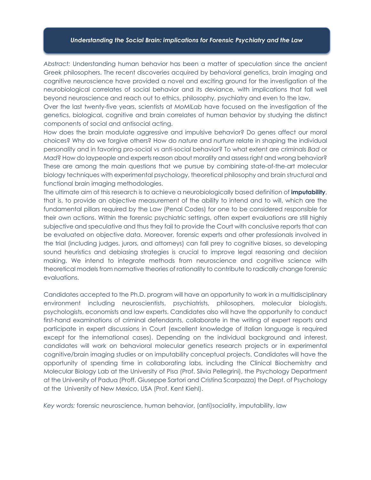#### *Understanding the Social Brain: implications for Forensic Psychiatry and the Law*

*Abstract:* Understanding human behavior has been a matter of speculation since the ancient Greek philosophers. The recent discoveries acquired by behavioral genetics, brain imaging and cognitive neuroscience have provided a novel and exciting ground for the investigation of the neurobiological correlates of social behavior and its deviance, with implications that fall well beyond neuroscience and reach out to ethics, philosophy, psychiatry and even to the law.

Over the last twenty-five years, scientists at *MoMILab* have focused on the investigation of the genetics, biological, cognitive and brain correlates of human behavior by studying the distinct components of social and antisocial acting.

How does the brain modulate aggressive and impulsive behavior? Do genes affect our moral choices? Why do we forgive others? How do *nature* and *nurture* relate in shaping the individual personality and in favoring pro-social vs anti-social behavior? To what extent are criminals *Bad* or *Mad*? How do laypeople and experts reason about morality and assess right and wrong behavior? These are among the main questions that we pursue by combining state-of-the-art molecular biology techniques with experimental psychology, theoretical philosophy and brain structural and functional brain imaging methodologies.

The ultimate aim of this research is to achieve a neurobiologically based definition of **imputability**, that is, to provide an objective measurement of the ability to intend and to will, which are the fundamental pillars required by the Law (Penal Codes) for one to be considered responsible for their own actions. Within the forensic psychiatric settings, often expert evaluations are still highly subjective and speculative and thus they fail to provide the Court with conclusive reports that can be evaluated on objective data. Moreover, forensic experts and other professionals involved in the trial (including judges, jurors, and attorneys) can fall prey to cognitive biases, so developing sound heuristics and debiasing strategies is crucial to improve legal reasoning and decision making. We intend to integrate methods from neuroscience and cognitive science with theoretical models from normative theories of rationality to contribute to radically change forensic evaluations.

Candidates accepted to the Ph.D. program will have an opportunity to work in a multidisciplinary environment including neuroscientists, psychiatrists, philosophers, molecular biologists, psychologists, economists and law experts. Candidates also will have the opportunity to conduct first-hand examinations of criminal defendants, collaborate in the writing of expert reports and participate in expert discussions in Court (excellent knowledge of Italian language is required except for the international cases). Depending on the individual background and interest, candidates will work on behavioral molecular genetics research projects or in experimental cognitive/brain imaging studies or on imputability conceptual projects. Candidates will have the opportunity of spending time in collaborating labs, including the Clinical Biochemistry and Molecular Biology Lab at the University of Pisa (Prof. Silvia Pellegrini), the Psychology Department at the University of Padua (Proff. Giuseppe Sartori and Cristina Scarpazza) the Dept. of Psychology at the University of New Mexico, USA (Prof. Kent Kiehl).

*Key words:* forensic neuroscience, human behavior, (anti)sociality, imputability, law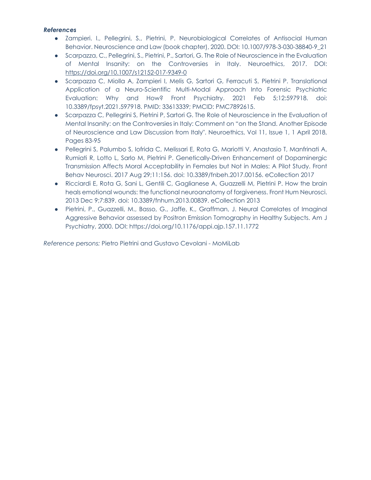# *References*

- Zampieri. I., Pellegrini, S., Pietrini, P. Neurobiological Correlates of Antisocial Human Behavior. Neuroscience and Law (book chapter), 2020. DOI: 10.1007/978-3-030-38840-9\_21
- Scarpazza, C., Pellegrini, S., Pietrini, P., Sartori, G. The Role of Neuroscience in the Evaluation of Mental Insanity: on the Controversies in Italy. Neuroethics, 2017. DOI: https://doi.org/10.1007/s12152-017-9349-0
- Scarpazza C, Miolla A, Zampieri I, Melis G, Sartori G, Ferracuti S, Pietrini P. Translational Application of a Neuro-Scientific Multi-Modal Approach Into Forensic Psychiatric Evaluation: Why and How? Front Psychiatry. 2021 Feb 5;12:597918. doi: 10.3389/fpsyt.2021.597918. PMID: 33613339; PMCID: PMC7892615.
- Scarpazza C, Pellegrini S, Pietrini P, Sartori G. The Role of Neuroscience in the Evaluation of Mental Insanity: on the Controversies in Italy: Comment on "on the Stand. Another Episode of Neuroscience and Law Discussion from Italy". Neuroethics, Vol 11, Issue 1, 1 April 2018, Pages 83-95
- Pellegrini S, Palumbo S, Iofrida C, Melissari E, Rota G, Mariotti V, Anastasio T, Manfrinati A, Rumiati R, Lotto L, Sarlo M, Pietrini P. Genetically-Driven Enhancement of Dopaminergic Transmission Affects Moral Acceptability in Females but Not in Males: A Pilot Study. Front Behav Neurosci. 2017 Aug 29;11:156. doi: 10.3389/fnbeh.2017.00156. eCollection 2017
- Ricciardi E, Rota G, Sani L, Gentili C, Gaglianese A, Guazzelli M, Pietrini P. How the brain heals emotional wounds: the functional neuroanatomy of forgiveness. Front Hum Neurosci. 2013 Dec 9;7:839. doi: 10.3389/fnhum.2013.00839. eCollection 2013
- Pietrini, P., Guazzelli, M., Basso, G., Jaffe, K., Graffman, J. Neural Correlates of Imaginal Aggressive Behavior assessed by Positron Emission Tomography in Healthy Subjects. Am J Psychiatry, 2000. DOI: https://doi.org/10.1176/appi.ajp.157.11.1772

*Reference persons:* Pietro Pietrini and Gustavo Cevolani - MoMiLab